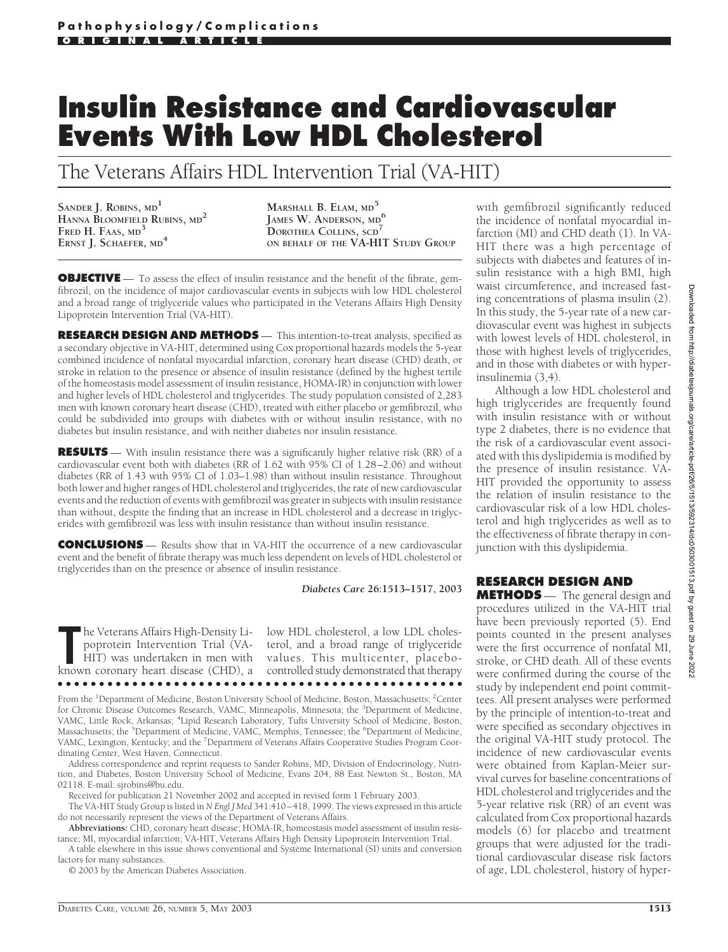## **Insulin Resistance and Cardiovascular Events With Low HDL Cholesterol**

The Veterans Affairs HDL Intervention Trial (VA-HIT)

**SANDER J. ROBINS, MD<sup>1</sup> HANNA BLOOMFIELD RUBINS, MD<sup>2</sup> FRED H. FAAS, MD<sup>3</sup> ERNST J. SCHAEFER, MD<sup>4</sup>**

**MARSHALL B. ELAM, MD<sup>5</sup> JAMES W. ANDERSON, MD<sup>6</sup> DOROTHEA COLLINS, SCD<sup>7</sup> ON BEHALF OF THE VA-HIT STUDY GROUP**

**OBJECTIVE** — To assess the effect of insulin resistance and the benefit of the fibrate, gemfibrozil, on the incidence of major cardiovascular events in subjects with low HDL cholesterol and a broad range of triglyceride values who participated in the Veterans Affairs High Density Lipoprotein Intervention Trial (VA-HIT).

**RESEARCH DESIGN AND METHODS** — This intention-to-treat analysis, specified as a secondary objective in VA-HIT, determined using Cox proportional hazards models the 5-year combined incidence of nonfatal myocardial infarction, coronary heart disease (CHD) death, or stroke in relation to the presence or absence of insulin resistance (defined by the highest tertile of the homeostasis model assessment of insulin resistance, HOMA-IR) in conjunction with lower and higher levels of HDL cholesterol and triglycerides. The study population consisted of 2,283 men with known coronary heart disease (CHD), treated with either placebo or gemfibrozil, who could be subdivided into groups with diabetes with or without insulin resistance, with no diabetes but insulin resistance, and with neither diabetes nor insulin resistance.

**RESULTS** — With insulin resistance there was a significantly higher relative risk (RR) of a cardiovascular event both with diabetes (RR of 1.62 with 95% CI of 1.28–2.06) and without diabetes (RR of 1.43 with 95% CI of 1.03–1.98) than without insulin resistance. Throughout both lower and higher ranges of HDL cholesterol and triglycerides, the rate of new cardiovascular events and the reduction of events with gemfibrozil was greater in subjects with insulin resistance than without, despite the finding that an increase in HDL cholesterol and a decrease in triglycerides with gemfibrozil was less with insulin resistance than without insulin resistance.

**CONCLUSIONS** — Results show that in VA-HIT the occurrence of a new cardiovascular event and the benefit of fibrate therapy was much less dependent on levels of HDL cholesterol or triglycerides than on the presence or absence of insulin resistance.

## *Diabetes Care* **26:1513–1517, 2003**

The Veterans Affairs High-Density Li-<br>
poprotein Intervention Trial (VA-<br>
HIT) was undertaken in men with values. This multicenter, placebo-<br>
known coronary heart disease (CHD), a controlled study demonstrated that therapy poprotein Intervention Trial (VA-

he Veterans Affairs High-Density Li-low HDL cholesterol, a low LDL choles-HIT) was undertaken in men with values. This multicenter, placeboterol, and a broad range of triglyceride ●●●●●●●●●●●●●●●●●●●●●●●●●●●●●●●●●●●●●●●●●●●●●●●●●

From the <sup>1</sup>Department of Medicine, Boston University School of Medicine, Boston, Massachusetts; <sup>2</sup>Center for Chronic Disease Outcomes Research, VAMC, Minneapolis, Minnesota; the <sup>3</sup>Department of Medicine, VAMC, Little Rock, Arkansas; <sup>4</sup> Lipid Research Laboratory, Tufts University School of Medicine, Boston, Massachusetts; the <sup>5</sup>Department of Medicine, VAMC, Memphis, Tennessee; the <sup>6</sup>Department of Medicine, VAMC, Lexington, Kentucky; and the <sup>7</sup> Department of Veterans Affairs Cooperative Studies Program Coordinating Center, West Haven, Connecticut.

Address correspondence and reprint requests to Sander Robins, MD, Division of Endocrinology, Nutrition, and Diabetes, Boston University School of Medicine, Evans 204, 88 East Newton St., Boston, MA 02118. E-mail: sjrobins@bu.edu.

Received for publication 21 November 2002 and accepted in revised form 1 February 2003.

The VA-HIT Study Group is listed in *N Engl J Med* 341:410–418, 1999. The views expressed in this article do not necessarily represent the views of the Department of Veterans Affairs.

**Abbreviations:** CHD, coronary heart disease; HOMA-IR, homeostasis model assessment of insulin resistance; MI, myocardial infarction; VA-HIT, Veterans Affairs High Density Lipoprotein Intervention Trial.

A table elsewhere in this issue shows conventional and Système International (SI) units and conversion factors for many substances.

© 2003 by the American Diabetes Association.

with gemfibrozil significantly reduced the incidence of nonfatal myocardial infarction (MI) and CHD death (1). In VA-HIT there was a high percentage of subjects with diabetes and features of insulin resistance with a high BMI, high waist circumference, and increased fasting concentrations of plasma insulin (2). In this study, the 5-year rate of a new cardiovascular event was highest in subjects with lowest levels of HDL cholesterol, in those with highest levels of triglycerides, and in those with diabetes or with hyperinsulinemia (3,4).

Although a low HDL cholesterol and high triglycerides are frequently found with insulin resistance with or without type 2 diabetes, there is no evidence that the risk of a cardiovascular event associated with this dyslipidemia is modified by the presence of insulin resistance. VA-HIT provided the opportunity to assess the relation of insulin resistance to the cardiovascular risk of a low HDL cholesterol and high triglycerides as well as to the effectiveness of fibrate therapy in conjunction with this dyslipidemia.

**RESEARCH DESIGN AND**

**METHODS** — The general design and procedures utilized in the VA-HIT trial have been previously reported (5). End points counted in the present analyses were the first occurrence of nonfatal MI, stroke, or CHD death. All of these events were confirmed during the course of the study by independent end point committees. All present analyses were performed by the principle of intention-to-treat and were specified as secondary objectives in the original VA-HIT study protocol. The incidence of new cardiovascular events were obtained from Kaplan-Meier survival curves for baseline concentrations of HDL cholesterol and triglycerides and the 5-year relative risk (RR) of an event was calculated from Cox proportional hazards models (6) for placebo and treatment groups that were adjusted for the traditional cardiovascular disease risk factors of age, LDL cholesterol, history of hyper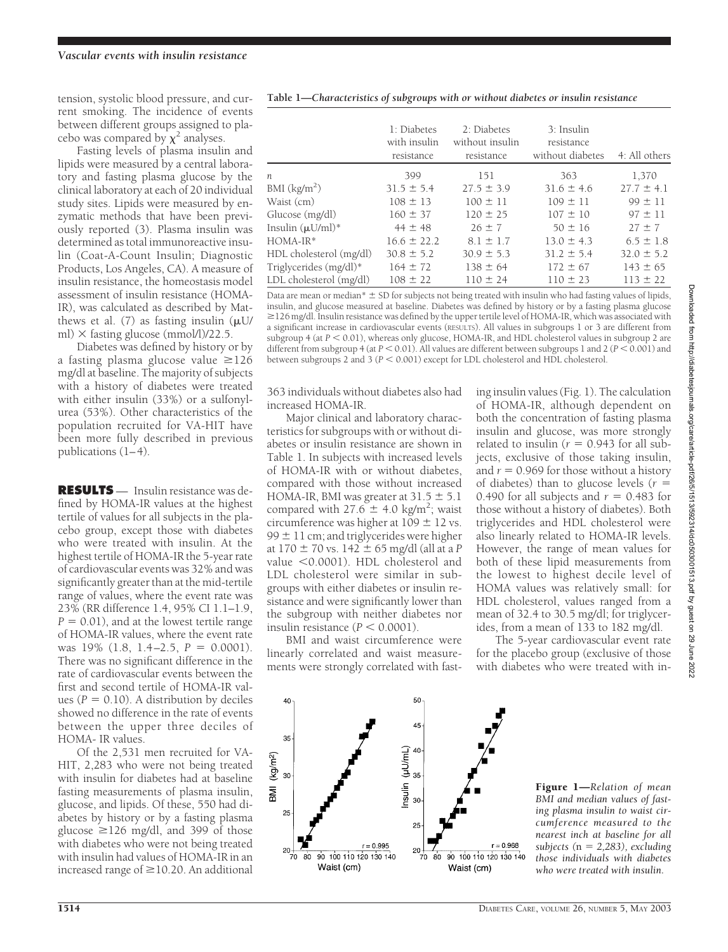tension, systolic blood pressure, and current smoking. The incidence of events between different groups assigned to placebo was compared by  $\chi^2$  analyses.

Fasting levels of plasma insulin and lipids were measured by a central laboratory and fasting plasma glucose by the clinical laboratory at each of 20 individual study sites. Lipids were measured by enzymatic methods that have been previously reported (3). Plasma insulin was determined as total immunoreactive insulin (Coat-A-Count Insulin; Diagnostic Products, Los Angeles, CA). A measure of insulin resistance, the homeostasis model assessment of insulin resistance (HOMA-IR), was calculated as described by Matthews et al.  $(7)$  as fasting insulin  $(\mu U/m)$ ml)  $\times$  fasting glucose (mmol/l)/22.5.

Diabetes was defined by history or by a fasting plasma glucose value  $\geq 126$ mg/dl at baseline. The majority of subjects with a history of diabetes were treated with either insulin (33%) or a sulfonylurea (53%). Other characteristics of the population recruited for VA-HIT have been more fully described in previous publications (1–4).

**RESULTS** — Insulin resistance was defined by HOMA-IR values at the highest tertile of values for all subjects in the placebo group, except those with diabetes who were treated with insulin. At the highest tertile of HOMA-IR the 5-year rate of cardiovascular events was 32% and was significantly greater than at the mid-tertile range of values, where the event rate was 23% (RR difference 1.4, 95% CI 1.1–1.9,  $P = 0.01$ , and at the lowest tertile range of HOMA-IR values, where the event rate was  $19\%$  (1.8, 1.4–2.5,  $P = 0.0001$ ). There was no significant difference in the rate of cardiovascular events between the first and second tertile of HOMA-IR values  $(P = 0.10)$ . A distribution by deciles showed no difference in the rate of events between the upper three deciles of HOMA- IR values.

Of the 2,531 men recruited for VA-HIT, 2,283 who were not being treated with insulin for diabetes had at baseline fasting measurements of plasma insulin, glucose, and lipids. Of these, 550 had diabetes by history or by a fasting plasma glucose  $\geq$ 126 mg/dl, and 399 of those with diabetes who were not being treated with insulin had values of HOMA-IR in an increased range of  $\geq$  10.20. An additional

|  | Table 1-Characteristics of subgroups with or without diabetes or insulin resistance |
|--|-------------------------------------------------------------------------------------|
|  |                                                                                     |

|                          | 1: Diabetes<br>with insulin<br>resistance | 2: Diabetes<br>without insulin<br>resistance | 3: Insulin<br>resistance<br>without diabetes | 4: All others  |
|--------------------------|-------------------------------------------|----------------------------------------------|----------------------------------------------|----------------|
| $n_{\cdot}$              | 399                                       | 151                                          | 363                                          | 1,370          |
| BMI (kg/m <sup>2</sup> ) | $31.5 \pm 5.4$                            | $27.5 \pm 3.9$                               | $31.6 \pm 4.6$                               | $27.7 \pm 4.1$ |
| Waist (cm)               | $108 \pm 13$                              | $100 \pm 11$                                 | $109 \pm 11$                                 | $99 \pm 11$    |
| Glucose (mg/dl)          | $160 \pm 37$                              | $120 \pm 25$                                 | $107 \pm 10$                                 | $97 \pm 11$    |
| Insulin $(\mu U/ml)^*$   | $44 \pm 48$                               | $26 \pm 7$                                   | $50 \pm 16$                                  | $27 \pm 7$     |
| $HOMA-IR*$               | $16.6 \pm 22.2$                           | $8.1 \pm 1.7$                                | $13.0 \pm 4.3$                               | $6.5 \pm 1.8$  |
| HDL cholesterol (mg/dl)  | $30.8 \pm 5.2$                            | $30.9 \pm 5.3$                               | $31.2 \pm 5.4$                               | $32.0 \pm 5.2$ |
| Triglycerides (mg/dl)*   | $164 \pm 72$                              | $138 \pm 64$                                 | $172 \pm 67$                                 | $143 \pm 65$   |
| LDL cholesterol (mg/dl)  | $108 \pm 22$                              | $110 \pm 24$                                 | $110 \pm 23$                                 | $113 \pm 22$   |

Data are mean or median $* = SD$  for subjects not being treated with insulin who had fasting values of lipids, insulin, and glucose measured at baseline. Diabetes was defined by history or by a fasting plasma glucose  $\geq$ 126 mg/dl. Insulin resistance was defined by the upper tertile level of HOMA-IR, which was associated with a significant increase in cardiovascular events (RESULTS). All values in subgroups 1 or 3 are different from subgroup 4 (at  $P < 0.01$ ), whereas only glucose, HOMA-IR, and HDL cholesterol values in subgroup 2 are different from subgroup 4 (at  $P < 0.01$ ). All values are different between subgroups 1 and 2 ( $P < 0.001$ ) and between subgroups 2 and 3 ( $P < 0.001$ ) except for LDL cholesterol and HDL cholesterol.

363 individuals without diabetes also had increased HOMA-IR.

Major clinical and laboratory characteristics for subgroups with or without diabetes or insulin resistance are shown in Table 1. In subjects with increased levels of HOMA-IR with or without diabetes, compared with those without increased HOMA-IR, BMI was greater at  $31.5 \pm 5.1$ compared with  $27.6 \pm 4.0$  kg/m<sup>2</sup>; waist circumference was higher at  $109 \pm 12$  vs. 99  $\pm$  11 cm; and triglycerides were higher at  $170 \pm 70$  vs.  $142 \pm 65$  mg/dl (all at a P value <0.0001). HDL cholesterol and LDL cholesterol were similar in subgroups with either diabetes or insulin resistance and were significantly lower than the subgroup with neither diabetes nor insulin resistance  $(P < 0.0001)$ .

BMI and waist circumference were linearly correlated and waist measurements were strongly correlated with fasting insulin values (Fig. 1). The calculation of HOMA-IR, although dependent on both the concentration of fasting plasma insulin and glucose, was more strongly related to insulin ( $r = 0.943$  for all subjects, exclusive of those taking insulin, and  $r = 0.969$  for those without a history of diabetes) than to glucose levels (*r* 0.490 for all subjects and  $r = 0.483$  for those without a history of diabetes). Both triglycerides and HDL cholesterol were also linearly related to HOMA-IR levels. However, the range of mean values for both of these lipid measurements from the lowest to highest decile level of HOMA values was relatively small: for HDL cholesterol, values ranged from a mean of 32.4 to 30.5 mg/dl; for triglycerides, from a mean of 133 to 182 mg/dl.

The 5-year cardiovascular event rate for the placebo group (exclusive of those with diabetes who were treated with in-



Figure 1—*Relation of mean BMI and median values of fasting plasma insulin to waist circumference measured to the nearest inch at baseline for all subjects* ( $n = 2,283$ ), *excluding those individuals with diabetes who were treated with insulin.*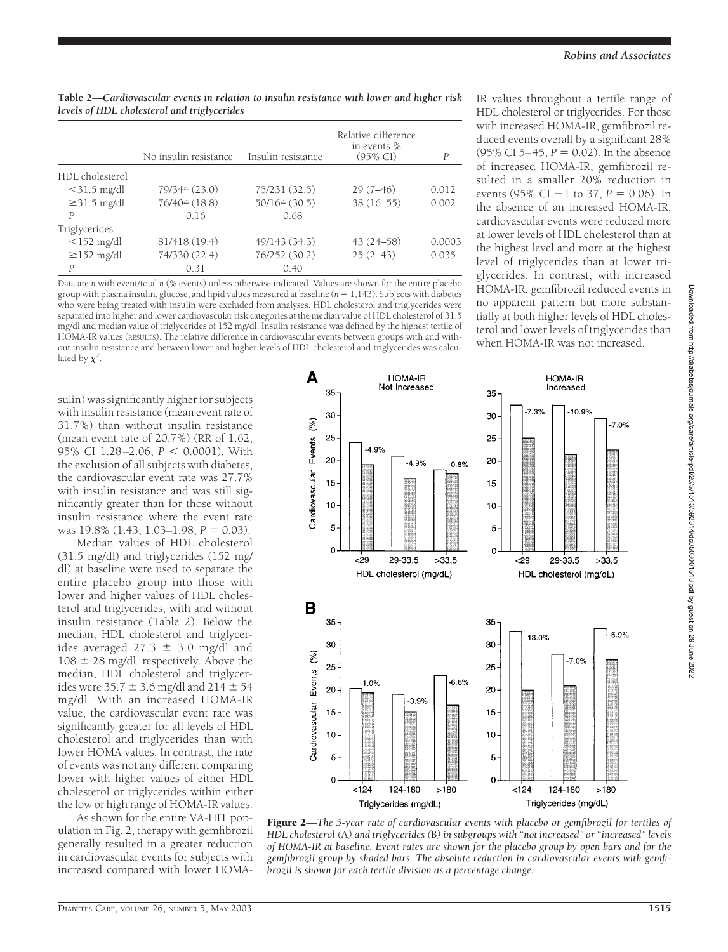| Table 2—Cardiovascular events in relation to insulin resistance with lower and higher risk |  |  |  |  |  |
|--------------------------------------------------------------------------------------------|--|--|--|--|--|
| levels of HDL cholesterol and triglycerides                                                |  |  |  |  |  |

|                   | No insulin resistance | Insulin resistance | Relative difference<br>in events %<br>$(95\% \text{ CI})$ | P      |
|-------------------|-----------------------|--------------------|-----------------------------------------------------------|--------|
|                   |                       |                    |                                                           |        |
| HDL cholesterol   |                       |                    |                                                           |        |
| $<$ 31.5 mg/dl    | 79/344 (23.0)         | 75/231 (32.5)      | $29(7-46)$                                                | 0.012  |
| $\geq$ 31.5 mg/dl | 76/404 (18.8)         | 50/164 (30.5)      | $38(16-55)$                                               | 0.002  |
| $\overline{P}$    | 016                   | 0.68               |                                                           |        |
| Triglycerides     |                       |                    |                                                           |        |
| $<$ 152 mg/dl     | 81/418 (19.4)         | 49/143 (34.3)      | $43(24 - 58)$                                             | 0.0003 |
| $\geq$ 152 mg/dl  | 74/330 (22.4)         | 76/252 (30.2)      | $25(2-43)$                                                | 0.035  |
| P                 | 0.31                  | 0.40               |                                                           |        |

Data are *n* with event/total *n* (% events) unless otherwise indicated. Values are shown for the entire placebo group with plasma insulin, glucose, and lipid values measured at baseline ( $n = 1,143$ ). Subjects with diabetes who were being treated with insulin were excluded from analyses. HDL cholesterol and triglycerides were separated into higher and lower cardiovascular risk categories at the median value of HDL cholesterol of 31.5 mg/dl and median value of triglycerides of 152 mg/dl. Insulin resistance was defined by the highest tertile of HOMA-IR values (RESULTS). The relative difference in cardiovascular events between groups with and without insulin resistance and between lower and higher levels of HDL cholesterol and triglycerides was calculated by  $\chi^2$ .

IR values throughout a tertile range of HDL cholesterol or triglycerides. For those with increased HOMA-IR, gemfibrozil reduced events overall by a significant 28% (95% CI 5–45,  $P = 0.02$ ). In the absence of increased HOMA-IR, gemfibrozil resulted in a smaller 20% reduction in events (95% CI  $-1$  to 37,  $P = 0.06$ ). In the absence of an increased HOMA-IR, cardiovascular events were reduced more at lower levels of HDL cholesterol than at the highest level and more at the highest level of triglycerides than at lower triglycerides. In contrast, with increased HOMA-IR, gemfibrozil reduced events in no apparent pattern but more substantially at both higher levels of HDL cholesterol and lower levels of triglycerides than when HOMA-IR was not increased.

sulin) was significantly higher for subjects with insulin resistance (mean event rate of 31.7%) than without insulin resistance (mean event rate of 20.7%) (RR of 1.62, 95% CI 1.28-2.06,  $P < 0.0001$ ). With the exclusion of all subjects with diabetes, the cardiovascular event rate was 27.7% with insulin resistance and was still significantly greater than for those without insulin resistance where the event rate was 19.8% (1.43, 1.03–1.98,  $P = 0.03$ ).

Median values of HDL cholesterol (31.5 mg/dl) and triglycerides (152 mg/ dl) at baseline were used to separate the entire placebo group into those with lower and higher values of HDL cholesterol and triglycerides, with and without insulin resistance (Table 2). Below the median, HDL cholesterol and triglycerides averaged  $27.3 \pm 3.0$  mg/dl and  $108 \pm 28$  mg/dl, respectively. Above the median, HDL cholesterol and triglycerides were  $35.7 \pm 3.6$  mg/dl and  $214 \pm 54$ mg/dl. With an increased HOMA-IR value, the cardiovascular event rate was significantly greater for all levels of HDL cholesterol and triglycerides than with lower HOMA values. In contrast, the rate of events was not any different comparing lower with higher values of either HDL cholesterol or triglycerides within either the low or high range of HOMA-IR values.

As shown for the entire VA-HIT population in Fig. 2, therapy with gemfibrozil generally resulted in a greater reduction in cardiovascular events for subjects with increased compared with lower HOMA-



Figure 2—*The 5-year rate of cardiovascular events with placebo or gemfibrozil for tertiles of HDL cholesterol (*A*) and triglycerides (*B*) in subgroups with "not increased" or "increased" levels of HOMA-IR at baseline. Event rates are shown for the placebo group by open bars and for the gemfibrozil group by shaded bars. The absolute reduction in cardiovascular events with gemfibrozil is shown for each tertile division as a percentage change.*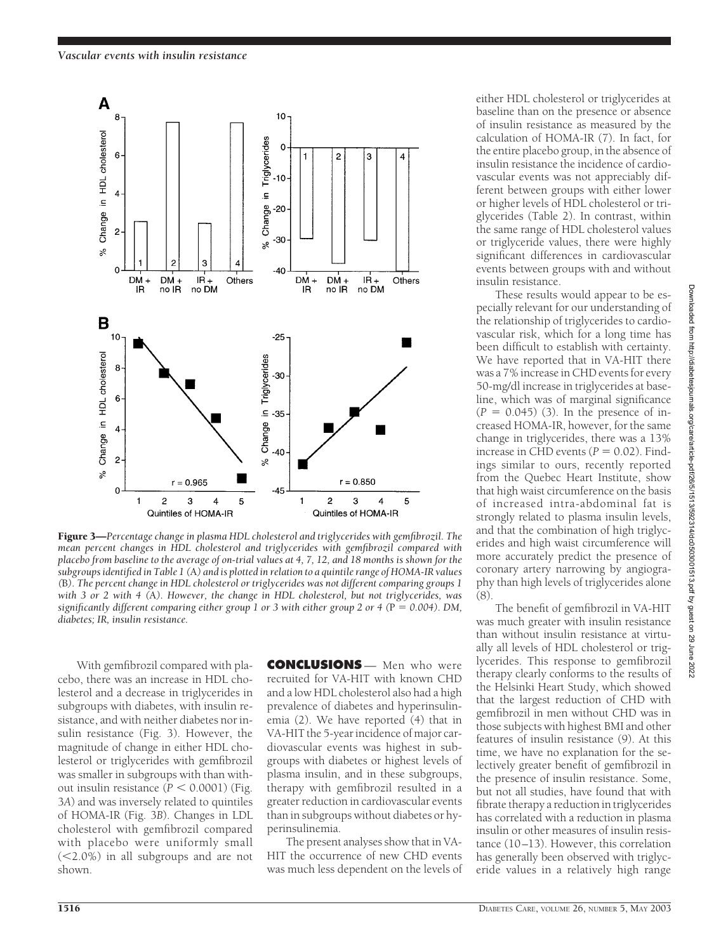

Figure 3—*Percentage change in plasma HDL cholesterol and triglycerides with gemfibrozil. The mean percent changes in HDL cholesterol and triglycerides with gemfibrozil compared with placebo from baseline to the average of on-trial values at 4, 7, 12, and 18 months is shown for the subgroups identified in Table 1 (*A*) and is plotted in relation to a quintile range of HOMA-IR values (*B*). The percent change in HDL cholesterol or triglycerides was not different comparing groups 1 with 3 or 2 with 4 (*A*). However, the change in HDL cholesterol, but not triglycerides, was significantly different comparing either group 1 or 3 with either group 2 or 4 (P = 0.004). DM, diabetes; IR, insulin resistance.*

With gemfibrozil compared with placebo, there was an increase in HDL cholesterol and a decrease in triglycerides in subgroups with diabetes, with insulin resistance, and with neither diabetes nor insulin resistance (Fig. 3). However, the magnitude of change in either HDL cholesterol or triglycerides with gemfibrozil was smaller in subgroups with than without insulin resistance  $(P < 0.0001)$  (Fig. 3*A*) and was inversely related to quintiles of HOMA-IR (Fig. 3*B*). Changes in LDL cholesterol with gemfibrozil compared with placebo were uniformly small (2.0%) in all subgroups and are not shown.

**CONCLUSIONS** — Men who were recruited for VA-HIT with known CHD and a low HDL cholesterol also had a high prevalence of diabetes and hyperinsulinemia (2). We have reported (4) that in VA-HIT the 5-year incidence of major cardiovascular events was highest in subgroups with diabetes or highest levels of plasma insulin, and in these subgroups, therapy with gemfibrozil resulted in a greater reduction in cardiovascular events than in subgroups without diabetes or hyperinsulinemia.

The present analyses show that in VA-HIT the occurrence of new CHD events was much less dependent on the levels of either HDL cholesterol or triglycerides at baseline than on the presence or absence of insulin resistance as measured by the calculation of HOMA-IR (7). In fact, for the entire placebo group, in the absence of insulin resistance the incidence of cardiovascular events was not appreciably different between groups with either lower or higher levels of HDL cholesterol or triglycerides (Table 2). In contrast, within the same range of HDL cholesterol values or triglyceride values, there were highly significant differences in cardiovascular events between groups with and without insulin resistance.

These results would appear to be especially relevant for our understanding of the relationship of triglycerides to cardiovascular risk, which for a long time has been difficult to establish with certainty. We have reported that in VA-HIT there was a 7% increase in CHD events for every 50-mg/dl increase in triglycerides at baseline, which was of marginal significance  $(P = 0.045)$  (3). In the presence of increased HOMA-IR, however, for the same change in triglycerides, there was a 13% increase in CHD events  $(P = 0.02)$ . Findings similar to ours, recently reported from the Quebec Heart Institute, show that high waist circumference on the basis of increased intra-abdominal fat is strongly related to plasma insulin levels, and that the combination of high triglycerides and high waist circumference will more accurately predict the presence of coronary artery narrowing by angiography than high levels of triglycerides alone  $(8)$ 

The benefit of gemfibrozil in VA-HIT was much greater with insulin resistance than without insulin resistance at virtually all levels of HDL cholesterol or triglycerides. This response to gemfibrozil therapy clearly conforms to the results of the Helsinki Heart Study, which showed that the largest reduction of CHD with gemfibrozil in men without CHD was in those subjects with highest BMI and other features of insulin resistance (9). At this time, we have no explanation for the selectively greater benefit of gemfibrozil in the presence of insulin resistance. Some, but not all studies, have found that with fibrate therapy a reduction in triglycerides has correlated with a reduction in plasma insulin or other measures of insulin resistance (10–13). However, this correlation has generally been observed with triglyceride values in a relatively high range